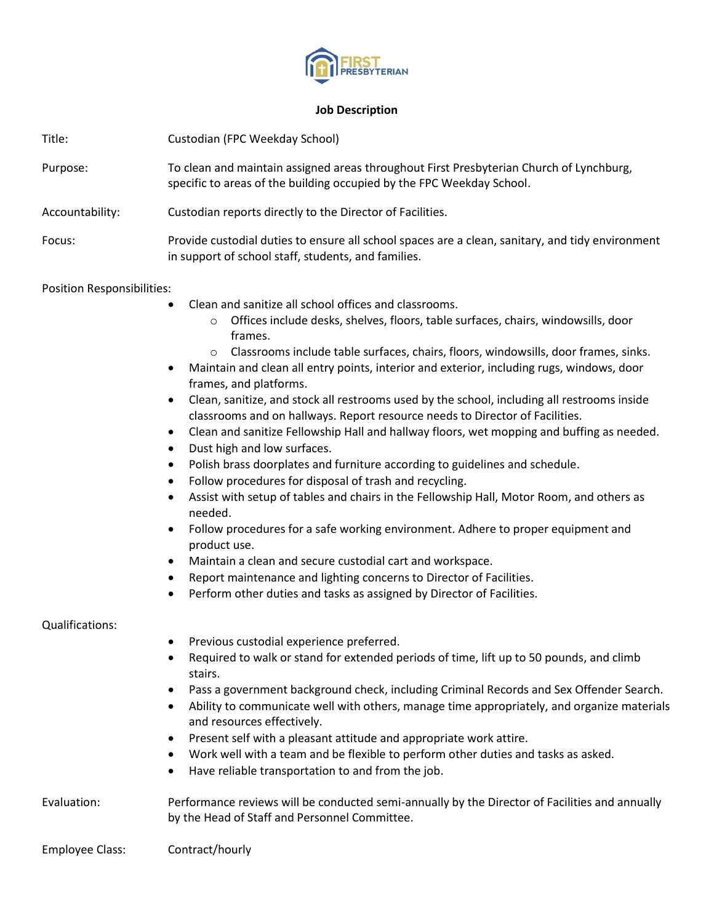

## **Job Description**

| Title:                     | Custodian (FPC Weekday School)                                                                                                                                                                                                                                                                                                                                                                                                                                                                                                                                                                                                                                                                                                                                                                                                                                                                                                                                                                                                                                                                                                                                                                                                                                                                                                                                                               |
|----------------------------|----------------------------------------------------------------------------------------------------------------------------------------------------------------------------------------------------------------------------------------------------------------------------------------------------------------------------------------------------------------------------------------------------------------------------------------------------------------------------------------------------------------------------------------------------------------------------------------------------------------------------------------------------------------------------------------------------------------------------------------------------------------------------------------------------------------------------------------------------------------------------------------------------------------------------------------------------------------------------------------------------------------------------------------------------------------------------------------------------------------------------------------------------------------------------------------------------------------------------------------------------------------------------------------------------------------------------------------------------------------------------------------------|
| Purpose:                   | To clean and maintain assigned areas throughout First Presbyterian Church of Lynchburg,<br>specific to areas of the building occupied by the FPC Weekday School.                                                                                                                                                                                                                                                                                                                                                                                                                                                                                                                                                                                                                                                                                                                                                                                                                                                                                                                                                                                                                                                                                                                                                                                                                             |
| Accountability:            | Custodian reports directly to the Director of Facilities.                                                                                                                                                                                                                                                                                                                                                                                                                                                                                                                                                                                                                                                                                                                                                                                                                                                                                                                                                                                                                                                                                                                                                                                                                                                                                                                                    |
| Focus:                     | Provide custodial duties to ensure all school spaces are a clean, sanitary, and tidy environment<br>in support of school staff, students, and families.                                                                                                                                                                                                                                                                                                                                                                                                                                                                                                                                                                                                                                                                                                                                                                                                                                                                                                                                                                                                                                                                                                                                                                                                                                      |
| Position Responsibilities: |                                                                                                                                                                                                                                                                                                                                                                                                                                                                                                                                                                                                                                                                                                                                                                                                                                                                                                                                                                                                                                                                                                                                                                                                                                                                                                                                                                                              |
|                            | Clean and sanitize all school offices and classrooms.<br>Offices include desks, shelves, floors, table surfaces, chairs, windowsills, door<br>$\circ$<br>frames.<br>Classrooms include table surfaces, chairs, floors, windowsills, door frames, sinks.<br>$\circ$<br>Maintain and clean all entry points, interior and exterior, including rugs, windows, door<br>$\bullet$<br>frames, and platforms.<br>Clean, sanitize, and stock all restrooms used by the school, including all restrooms inside<br>$\bullet$<br>classrooms and on hallways. Report resource needs to Director of Facilities.<br>Clean and sanitize Fellowship Hall and hallway floors, wet mopping and buffing as needed.<br>٠<br>Dust high and low surfaces.<br>٠<br>Polish brass doorplates and furniture according to guidelines and schedule.<br>$\bullet$<br>Follow procedures for disposal of trash and recycling.<br>$\bullet$<br>Assist with setup of tables and chairs in the Fellowship Hall, Motor Room, and others as<br>$\bullet$<br>needed.<br>Follow procedures for a safe working environment. Adhere to proper equipment and<br>$\bullet$<br>product use.<br>Maintain a clean and secure custodial cart and workspace.<br>$\bullet$<br>Report maintenance and lighting concerns to Director of Facilities.<br>٠<br>Perform other duties and tasks as assigned by Director of Facilities.<br>$\bullet$ |
| Qualifications:            |                                                                                                                                                                                                                                                                                                                                                                                                                                                                                                                                                                                                                                                                                                                                                                                                                                                                                                                                                                                                                                                                                                                                                                                                                                                                                                                                                                                              |
|                            | Previous custodial experience preferred.<br>Required to walk or stand for extended periods of time, lift up to 50 pounds, and climb<br>$\bullet$<br>stairs.<br>Pass a government background check, including Criminal Records and Sex Offender Search.<br>٠<br>Ability to communicate well with others, manage time appropriately, and organize materials<br>$\bullet$<br>and resources effectively.<br>Present self with a pleasant attitude and appropriate work attire.<br>٠<br>Work well with a team and be flexible to perform other duties and tasks as asked.<br>$\bullet$<br>Have reliable transportation to and from the job.<br>٠                                                                                                                                                                                                                                                                                                                                                                                                                                                                                                                                                                                                                                                                                                                                                  |
| Evaluation:                | Performance reviews will be conducted semi-annually by the Director of Facilities and annually<br>by the Head of Staff and Personnel Committee.                                                                                                                                                                                                                                                                                                                                                                                                                                                                                                                                                                                                                                                                                                                                                                                                                                                                                                                                                                                                                                                                                                                                                                                                                                              |
| <b>Employee Class:</b>     | Contract/hourly                                                                                                                                                                                                                                                                                                                                                                                                                                                                                                                                                                                                                                                                                                                                                                                                                                                                                                                                                                                                                                                                                                                                                                                                                                                                                                                                                                              |